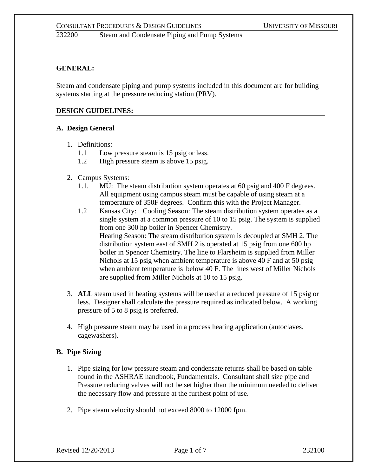## **GENERAL:**

Steam and condensate piping and pump systems included in this document are for building systems starting at the pressure reducing station (PRV).

## **DESIGN GUIDELINES:**

## **A. Design General**

- 1. Definitions:
	- 1.1 Low pressure steam is 15 psig or less.
	- 1.2 High pressure steam is above 15 psig.
- 2. Campus Systems:
	- 1.1. MU: The steam distribution system operates at 60 psig and 400 F degrees. All equipment using campus steam must be capable of using steam at a temperature of 350F degrees. Confirm this with the Project Manager.
	- 1.2 Kansas City: Cooling Season: The steam distribution system operates as a single system at a common pressure of 10 to 15 psig. The system is supplied from one 300 hp boiler in Spencer Chemistry. Heating Season: The steam distribution system is decoupled at SMH 2. The distribution system east of SMH 2 is operated at 15 psig from one 600 hp boiler in Spencer Chemistry. The line to Flarsheim is supplied from Miller Nichols at 15 psig when ambient temperature is above 40 F and at 50 psig when ambient temperature is below 40 F. The lines west of Miller Nichols are supplied from Miller Nichols at 10 to 15 psig.
- 3. **ALL** steam used in heating systems will be used at a reduced pressure of 15 psig or less. Designer shall calculate the pressure required as indicated below. A working pressure of 5 to 8 psig is preferred.
- 4. High pressure steam may be used in a process heating application (autoclaves, cagewashers).

## **B. Pipe Sizing**

- 1. Pipe sizing for low pressure steam and condensate returns shall be based on table found in the ASHRAE handbook, Fundamentals. Consultant shall size pipe and Pressure reducing valves will not be set higher than the minimum needed to deliver the necessary flow and pressure at the furthest point of use.
- 2. Pipe steam velocity should not exceed 8000 to 12000 fpm.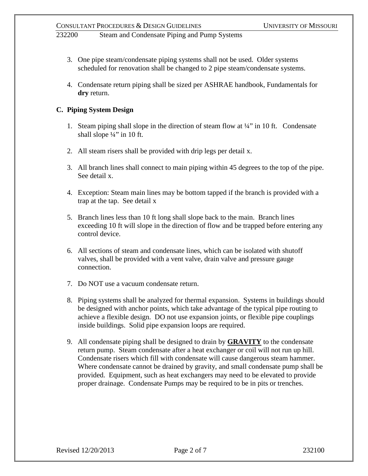- 3. One pipe steam/condensate piping systems shall not be used. Older systems scheduled for renovation shall be changed to 2 pipe steam/condensate systems.
- 4. Condensate return piping shall be sized per ASHRAE handbook, Fundamentals for **dry** return.

## **C. Piping System Design**

- 1. Steam piping shall slope in the direction of steam flow at  $\frac{1}{4}$  in 10 ft. Condensate shall slope  $\frac{1}{4}$ " in 10 ft.
- 2. All steam risers shall be provided with drip legs per detail x.
- 3. All branch lines shall connect to main piping within 45 degrees to the top of the pipe. See detail x.
- 4. Exception: Steam main lines may be bottom tapped if the branch is provided with a trap at the tap. See detail x
- 5. Branch lines less than 10 ft long shall slope back to the main. Branch lines exceeding 10 ft will slope in the direction of flow and be trapped before entering any control device.
- 6. All sections of steam and condensate lines, which can be isolated with shutoff valves, shall be provided with a vent valve, drain valve and pressure gauge connection.
- 7. Do NOT use a vacuum condensate return.
- 8. Piping systems shall be analyzed for thermal expansion. Systems in buildings should be designed with anchor points, which take advantage of the typical pipe routing to achieve a flexible design. DO not use expansion joints, or flexible pipe couplings inside buildings. Solid pipe expansion loops are required.
- 9. All condensate piping shall be designed to drain by **GRAVITY** to the condensate return pump. Steam condensate after a heat exchanger or coil will not run up hill. Condensate risers which fill with condensate will cause dangerous steam hammer. Where condensate cannot be drained by gravity, and small condensate pump shall be provided. Equipment, such as heat exchangers may need to be elevated to provide proper drainage. Condensate Pumps may be required to be in pits or trenches.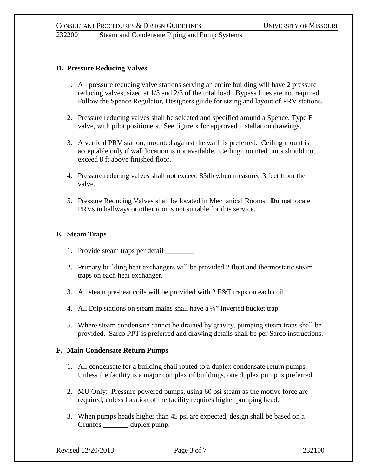### **D. Pressure Reducing Valves**

- 1. All pressure reducing valve stations serving an entire building will have 2 pressure reducing valves, sized at 1/3 and 2/3 of the total load. Bypass lines are not required. Follow the Spence Regulator, Designers guide for sizing and layout of PRV stations.
- 2. Pressure reducing valves shall be selected and specified around a Spence, Type E valve, with pilot positioners. See figure x for approved installation drawings.
- 3. A vertical PRV station, mounted against the wall, is preferred. Ceiling mount is acceptable only if wall location is not available. Ceiling mounted units should not exceed 8 ft above finished floor.
- 4. Pressure reducing valves shall not exceed 85db when measured 3 feet from the valve.
- 5. Pressure Reducing Valves shall be located in Mechanical Rooms. **Do not** locate PRVs in hallways or other rooms not suitable for this service.

#### **E. Steam Traps**

- 1. Provide steam traps per detail \_\_\_\_\_\_\_\_
- 2. Primary building heat exchangers will be provided 2 float and thermostatic steam traps on each heat exchanger.
- 3. All steam pre-heat coils will be provided with 2 F&T traps on each coil.
- 4. All Drip stations on steam mains shall have a 3<sup>4"</sup> inverted bucket trap.
- 5. Where steam condensate cannot be drained by gravity, pumping steam traps shall be provided. Sarco PPT is preferred and drawing details shall be per Sarco instructions.

#### **F. Main Condensate Return Pumps**

- 1. All condensate for a building shall routed to a duplex condensate return pumps. Unless the facility is a major complex of buildings, one duplex pump is preferred.
- 2. MU Only: Pressure powered pumps, using 60 psi steam as the motive force are required, unless location of the facility requires higher pumping head.
- 3. When pumps heads higher than 45 psi are expected, design shall be based on a Grunfos \_\_\_\_\_\_\_ duplex pump.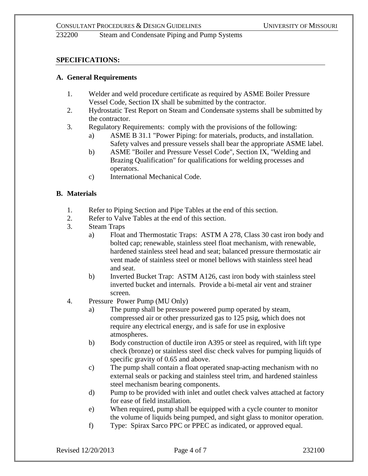### **SPECIFICATIONS:**

#### **A. General Requirements**

- 1. Welder and weld procedure certificate as required by ASME Boiler Pressure Vessel Code, Section IX shall be submitted by the contractor.
- 2. Hydrostatic Test Report on Steam and Condensate systems shall be submitted by the contractor.
- 3. Regulatory Requirements: comply with the provisions of the following:
	- a) ASME B 31.1 "Power Piping: for materials, products, and installation. Safety valves and pressure vessels shall bear the appropriate ASME label.
	- b) ASME "Boiler and Pressure Vessel Code", Section IX, "Welding and Brazing Qualification" for qualifications for welding processes and operators.
	- c) International Mechanical Code.

#### **B. Materials**

- 1. Refer to Piping Section and Pipe Tables at the end of this section.
- 2. Refer to Valve Tables at the end of this section.
- 3. Steam Traps
	- a) Float and Thermostatic Traps: ASTM A 278, Class 30 cast iron body and bolted cap; renewable, stainless steel float mechanism, with renewable, hardened stainless steel head and seat; balanced pressure thermostatic air vent made of stainless steel or monel bellows with stainless steel head and seat.
	- b) Inverted Bucket Trap: ASTM A126, cast iron body with stainless steel inverted bucket and internals. Provide a bi-metal air vent and strainer screen.
- 4. Pressure Power Pump (MU Only)
	- a) The pump shall be pressure powered pump operated by steam, compressed air or other pressurized gas to 125 psig, which does not require any electrical energy, and is safe for use in explosive atmospheres.
	- b) Body construction of ductile iron A395 or steel as required, with lift type check (bronze) or stainless steel disc check valves for pumping liquids of specific gravity of 0.65 and above.
	- c) The pump shall contain a float operated snap-acting mechanism with no external seals or packing and stainless steel trim, and hardened stainless steel mechanism bearing components.
	- d) Pump to be provided with inlet and outlet check valves attached at factory for ease of field installation.
	- e) When required, pump shall be equipped with a cycle counter to monitor the volume of liquids being pumped, and sight glass to monitor operation.
	- f) Type: Spirax Sarco PPC or PPEC as indicated, or approved equal.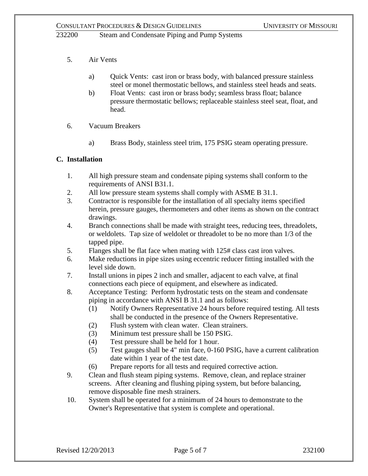- 5. Air Vents
	- a) Quick Vents: cast iron or brass body, with balanced pressure stainless steel or monel thermostatic bellows, and stainless steel heads and seats.
	- b) Float Vents: cast iron or brass body; seamless brass float; balance pressure thermostatic bellows; replaceable stainless steel seat, float, and head.
- 6. Vacuum Breakers
	- a) Brass Body, stainless steel trim, 175 PSIG steam operating pressure.

## **C. Installation**

- 1. All high pressure steam and condensate piping systems shall conform to the requirements of ANSI B31.1.
- 2. All low pressure steam systems shall comply with ASME B 31.1.
- 3. Contractor is responsible for the installation of all specialty items specified herein, pressure gauges, thermometers and other items as shown on the contract drawings.
- 4. Branch connections shall be made with straight tees, reducing tees, threadolets, or weldolets. Tap size of weldolet or threadolet to be no more than 1/3 of the tapped pipe.
- 5. Flanges shall be flat face when mating with 125# class cast iron valves.
- 6. Make reductions in pipe sizes using eccentric reducer fitting installed with the level side down.
- 7. Install unions in pipes 2 inch and smaller, adjacent to each valve, at final connections each piece of equipment, and elsewhere as indicated.
- 8. Acceptance Testing: Perform hydrostatic tests on the steam and condensate piping in accordance with ANSI B 31.1 and as follows:
	- (1) Notify Owners Representative 24 hours before required testing. All tests shall be conducted in the presence of the Owners Representative.
	- (2) Flush system with clean water. Clean strainers.
	- (3) Minimum test pressure shall be 150 PSIG.
	- (4) Test pressure shall be held for 1 hour.
	- (5) Test gauges shall be 4" min face, 0-160 PSIG, have a current calibration date within 1 year of the test date.
	- (6) Prepare reports for all tests and required corrective action.
- 9. Clean and flush steam piping systems. Remove, clean, and replace strainer screens. After cleaning and flushing piping system, but before balancing, remove disposable fine mesh strainers.
- 10. System shall be operated for a minimum of 24 hours to demonstrate to the Owner's Representative that system is complete and operational.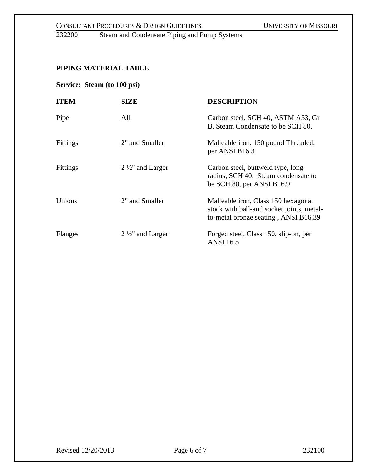CONSULTANT PROCEDURES & DESIGN GUIDELINES<br>232200 Steam and Condensate Piping and Pump Systems Steam and Condensate Piping and Pump Systems

# **PIPING MATERIAL TABLE**

## **Service: Steam (to 100 psi)**

| <b>ITEM</b>     | SIZE                      | <b>DESCRIPTION</b>                                                                                                       |
|-----------------|---------------------------|--------------------------------------------------------------------------------------------------------------------------|
| Pipe            | All                       | Carbon steel, SCH 40, ASTM A53, Gr<br>B. Steam Condensate to be SCH 80.                                                  |
| Fittings        | 2" and Smaller            | Malleable iron, 150 pound Threaded,<br>per ANSI B16.3                                                                    |
| <b>Fittings</b> | $2\frac{1}{2}$ and Larger | Carbon steel, buttweld type, long<br>radius, SCH 40. Steam condensate to<br>be SCH $80$ , per ANSI B16.9.                |
| Unions          | 2" and Smaller            | Malleable iron, Class 150 hexagonal<br>stock with ball-and socket joints, metal-<br>to-metal bronze seating, ANSI B16.39 |
| Flanges         | $2\frac{1}{2}$ and Larger | Forged steel, Class 150, slip-on, per<br><b>ANSI</b> 16.5                                                                |